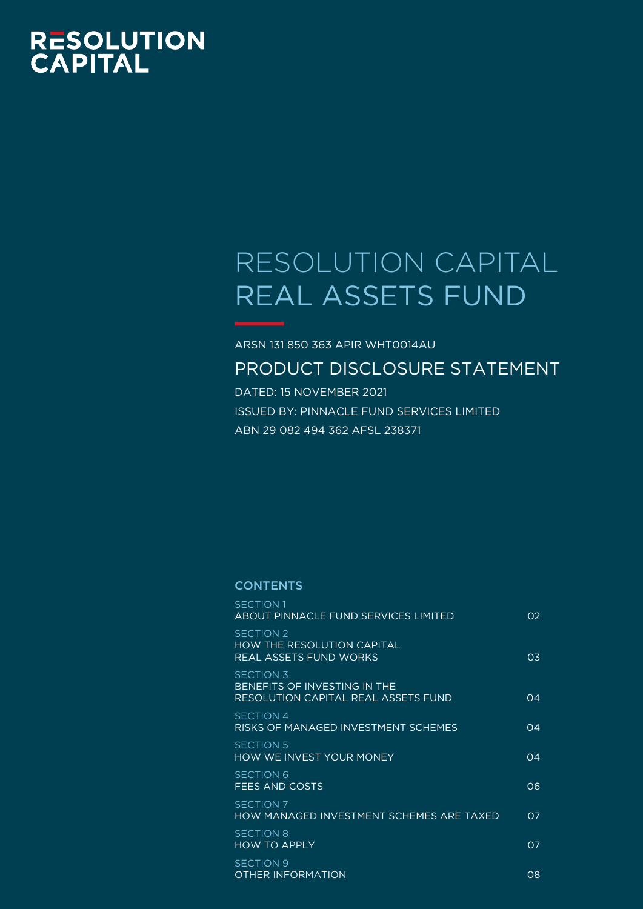# RESOLUTION<br>CAPITAL

# RESOLUTION CAPITAL REAL ASSETS FUND

# ARSN 131 850 363 APIR WHT0014AU PRODUCT DISCLOSURE STATEMENT

DATED: 15 NOVEMBER 2021 ISSUED BY: PINNACLE FUND SERVICES LIMITED ABN 29 082 494 362 AFSL 238371

#### **CONTENTS**

| <b>SECTION 1</b><br>ABOUT PINNACLE FUND SERVICES LIMITED                                | 02             |
|-----------------------------------------------------------------------------------------|----------------|
| <b>SECTION 2</b><br><b>HOW THE RESOLUTION CAPITAL</b><br>REAL ASSETS FUND WORKS         | 0.3            |
| <b>SECTION 3</b><br>BENEFITS OF INVESTING IN THE<br>RESOLUTION CAPITAL REAL ASSETS FUND | 04             |
| SECTION 4<br>RISKS OF MANAGED INVESTMENT SCHEMES                                        | 04             |
| SECTION 5<br>HOW WE INVEST YOUR MONEY                                                   | 04             |
| <b>SECTION 6</b><br>FEES AND COSTS                                                      | 06             |
| <b>SECTION 7</b><br>HOW MANAGED INVESTMENT SCHEMES ARE TAXED                            | O <sub>7</sub> |
| <b>SECTION 8</b><br><b>HOW TO APPLY</b>                                                 | 07             |
| SECTION 9<br><b>OTHER INFORMATION</b>                                                   | 08             |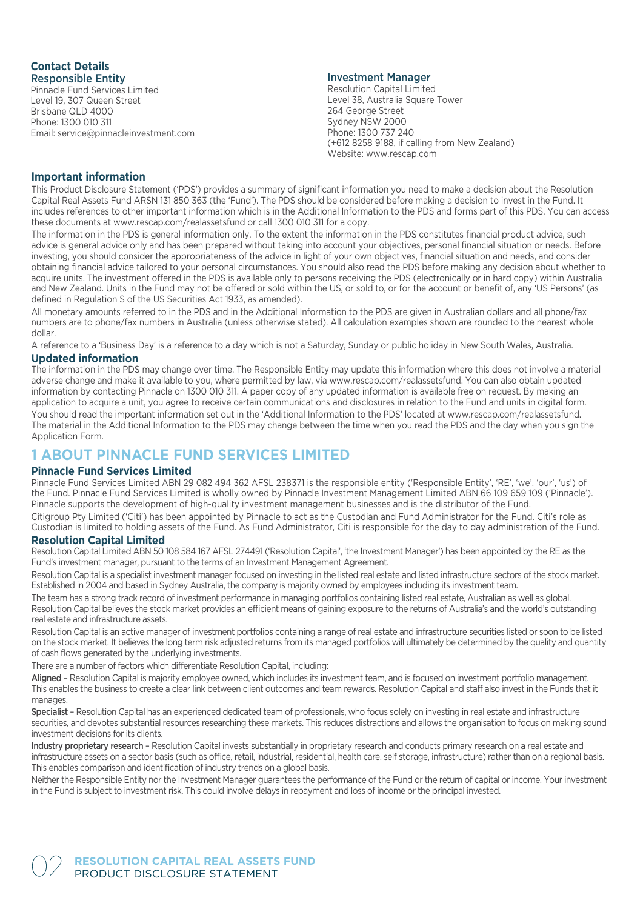#### **Contact Details** Responsible Entity

Pinnacle Fund Services Limited Level 19, 307 Queen Street Brisbane QLD 4000 Phone: 1300 010 311 Email: service@pinnacleinvestment.com

#### Investment Manager

Resolution Capital Limited Level 38, Australia Square Tower 264 George Street Sydney NSW 2000 Phone: 1300 737 240 (+612 8258 9188, if calling from New Zealand) Website: www.rescap.com

#### **Important information**

This Product Disclosure Statement ('PDS') provides a summary of significant information you need to make a decision about the Resolution Capital Real Assets Fund ARSN 131 850 363 (the 'Fund'). The PDS should be considered before making a decision to invest in the Fund. It includes references to other important information which is in the Additional Information to the PDS and forms part of this PDS. You can access these documents at www.rescap.com/realassetsfund or call 1300 010 311 for a copy.

The information in the PDS is general information only. To the extent the information in the PDS constitutes financial product advice, such advice is general advice only and has been prepared without taking into account your objectives, personal financial situation or needs. Before investing, you should consider the appropriateness of the advice in light of your own objectives, financial situation and needs, and consider obtaining financial advice tailored to your personal circumstances. You should also read the PDS before making any decision about whether to acquire units. The investment offered in the PDS is available only to persons receiving the PDS (electronically or in hard copy) within Australia and New Zealand. Units in the Fund may not be offered or sold within the US, or sold to, or for the account or benefit of, any 'US Persons' (as defined in Regulation S of the US Securities Act 1933, as amended).

All monetary amounts referred to in the PDS and in the Additional Information to the PDS are given in Australian dollars and all phone/fax numbers are to phone/fax numbers in Australia (unless otherwise stated). All calculation examples shown are rounded to the nearest whole dollar.

A reference to a 'Business Day' is a reference to a day which is not a Saturday, Sunday or public holiday in New South Wales, Australia.

#### **Updated information**

The information in the PDS may change over time. The Responsible Entity may update this information where this does not involve a material adverse change and make it available to you, where permitted by law, via www.rescap.com/realassetsfund. You can also obtain updated information by contacting Pinnacle on 1300 010 311. A paper copy of any updated information is available free on request. By making an application to acquire a unit, you agree to receive certain communications and disclosures in relation to the Fund and units in digital form. You should read the important information set out in the 'Additional Information to the PDS' located at www.rescap.com/realassetsfund. The material in the Additional Information to the PDS may change between the time when you read the PDS and the day when you sign the Application Form.

# **1 ABOUT PINNACLE FUND SERVICES LIMITED**

#### **Pinnacle Fund Services Limited**

Pinnacle Fund Services Limited ABN 29 082 494 362 AFSL 238371 is the responsible entity ('Responsible Entity', 'RE', 'we', 'our', 'us') of the Fund. Pinnacle Fund Services Limited is wholly owned by Pinnacle Investment Management Limited ABN 66 109 659 109 ('Pinnacle'). Pinnacle supports the development of high-quality investment management businesses and is the distributor of the Fund. Citigroup Pty Limited ('Citi') has been appointed by Pinnacle to act as the Custodian and Fund Administrator for the Fund. Citi's role as Custodian is limited to holding assets of the Fund. As Fund Administrator, Citi is responsible for the day to day administration of the Fund.

#### **Resolution Capital Limited**

Resolution Capital Limited ABN 50 108 584 167 AFSL 274491 ('Resolution Capital', 'the Investment Manager') has been appointed by the RE as the Fund's investment manager, pursuant to the terms of an Investment Management Agreement.

Resolution Capital is a specialist investment manager focused on investing in the listed real estate and listed infrastructure sectors of the stock market. Established in 2004 and based in Sydney Australia, the company is majority owned by employees including its investment team.

The team has a strong track record of investment performance in managing portfolios containing listed real estate, Australian as well as global. Resolution Capital believes the stock market provides an efficient means of gaining exposure to the returns of Australia's and the world's outstanding real estate and infrastructure assets.

Resolution Capital is an active manager of investment portfolios containing a range of real estate and infrastructure securities listed or soon to be listed on the stock market. It believes the long term risk adjusted returns from its managed portfolios will ultimately be determined by the quality and quantity of cash flows generated by the underlying investments.

There are a number of factors which differentiate Resolution Capital, including:

Aligned – Resolution Capital is majority employee owned, which includes its investment team, and is focused on investment portfolio management. This enables the business to create a clear link between client outcomes and team rewards. Resolution Capital and staff also invest in the Funds that it manages.

Specialist - Resolution Capital has an experienced dedicated team of professionals, who focus solely on investing in real estate and infrastructure securities, and devotes substantial resources researching these markets. This reduces distractions and allows the organisation to focus on making sound investment decisions for its clients.

Industry proprietary research - Resolution Capital invests substantially in proprietary research and conducts primary research on a real estate and infrastructure assets on a sector basis (such as office, retail, industrial, residential, health care, self storage, infrastructure) rather than on a regional basis. This enables comparison and identification of industry trends on a global basis.

Neither the Responsible Entity nor the Investment Manager guarantees the performance of the Fund or the return of capital or income. Your investment in the Fund is subject to investment risk. This could involve delays in repayment and loss of income or the principal invested.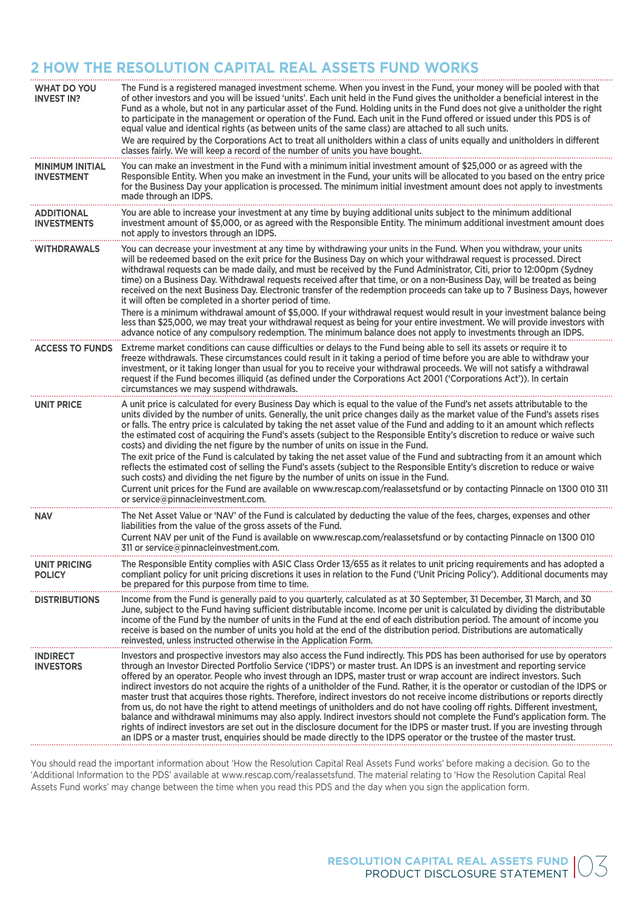# **2 HOW THE RESOLUTION CAPITAL REAL ASSETS FUND WORKS**

| <b>WHAT DO YOU</b><br><b>INVEST IN?</b>     | The Fund is a registered managed investment scheme. When you invest in the Fund, your money will be pooled with that<br>of other investors and you will be issued 'units'. Each unit held in the Fund gives the unitholder a beneficial interest in the<br>Fund as a whole, but not in any particular asset of the Fund. Holding units in the Fund does not give a unitholder the right<br>to participate in the management or operation of the Fund. Each unit in the Fund offered or issued under this PDS is of<br>equal value and identical rights (as between units of the same class) are attached to all such units.<br>We are required by the Corporations Act to treat all unitholders within a class of units equally and unitholders in different<br>classes fairly. We will keep a record of the number of units you have bought.                                                                                                                                                                                                                                                                                                                           |
|---------------------------------------------|-------------------------------------------------------------------------------------------------------------------------------------------------------------------------------------------------------------------------------------------------------------------------------------------------------------------------------------------------------------------------------------------------------------------------------------------------------------------------------------------------------------------------------------------------------------------------------------------------------------------------------------------------------------------------------------------------------------------------------------------------------------------------------------------------------------------------------------------------------------------------------------------------------------------------------------------------------------------------------------------------------------------------------------------------------------------------------------------------------------------------------------------------------------------------|
| <b>MINIMUM INITIAL</b><br><b>INVESTMENT</b> | You can make an investment in the Fund with a minimum initial investment amount of \$25,000 or as agreed with the<br>Responsible Entity. When you make an investment in the Fund, your units will be allocated to you based on the entry price<br>for the Business Day your application is processed. The minimum initial investment amount does not apply to investments<br>made through an IDPS.                                                                                                                                                                                                                                                                                                                                                                                                                                                                                                                                                                                                                                                                                                                                                                      |
| <b>ADDITIONAL</b><br><b>INVESTMENTS</b>     | You are able to increase your investment at any time by buying additional units subject to the minimum additional<br>investment amount of \$5,000, or as agreed with the Responsible Entity. The minimum additional investment amount does<br>not apply to investors through an IDPS.                                                                                                                                                                                                                                                                                                                                                                                                                                                                                                                                                                                                                                                                                                                                                                                                                                                                                   |
| <b>WITHDRAWALS</b>                          | You can decrease your investment at any time by withdrawing your units in the Fund. When you withdraw, your units<br>will be redeemed based on the exit price for the Business Day on which your withdrawal request is processed. Direct<br>withdrawal requests can be made daily, and must be received by the Fund Administrator, Citi, prior to 12:00pm (Sydney<br>time) on a Business Day. Withdrawal requests received after that time, or on a non-Business Day, will be treated as being<br>received on the next Business Day. Electronic transfer of the redemption proceeds can take up to 7 Business Days, however<br>it will often be completed in a shorter period of time.<br>There is a minimum withdrawal amount of \$5,000. If your withdrawal request would result in your investment balance being<br>less than \$25,000, we may treat your withdrawal request as being for your entire investment. We will provide investors with<br>advance notice of any compulsory redemption. The minimum balance does not apply to investments through an IDPS.                                                                                                  |
| <b>ACCESS TO FUNDS</b>                      | Extreme market conditions can cause difficulties or delays to the Fund being able to sell its assets or require it to<br>freeze withdrawals. These circumstances could result in it taking a period of time before you are able to withdraw your<br>investment, or it taking longer than usual for you to receive your withdrawal proceeds. We will not satisfy a withdrawal<br>request if the Fund becomes illiquid (as defined under the Corporations Act 2001 ('Corporations Act')). In certain<br>circumstances we may suspend withdrawals.                                                                                                                                                                                                                                                                                                                                                                                                                                                                                                                                                                                                                         |
| <b>UNIT PRICE</b>                           | A unit price is calculated for every Business Day which is equal to the value of the Fund's net assets attributable to the<br>units divided by the number of units. Generally, the unit price changes daily as the market value of the Fund's assets rises<br>or falls. The entry price is calculated by taking the net asset value of the Fund and adding to it an amount which reflects<br>the estimated cost of acquiring the Fund's assets (subject to the Responsible Entity's discretion to reduce or waive such<br>costs) and dividing the net figure by the number of units on issue in the Fund.<br>The exit price of the Fund is calculated by taking the net asset value of the Fund and subtracting from it an amount which<br>reflects the estimated cost of selling the Fund's assets (subject to the Responsible Entity's discretion to reduce or waive<br>such costs) and dividing the net figure by the number of units on issue in the Fund.<br>Current unit prices for the Fund are available on www.rescap.com/realassetsfund or by contacting Pinnacle on 1300 010 311<br>or service@pinnacleinvestment.com.                                       |
| <b>NAV</b>                                  | The Net Asset Value or 'NAV' of the Fund is calculated by deducting the value of the fees, charges, expenses and other<br>liabilities from the value of the gross assets of the Fund.<br>Current NAV per unit of the Fund is available on www.rescap.com/realassetsfund or by contacting Pinnacle on 1300 010<br>311 or service@pinnacleinvestment.com.                                                                                                                                                                                                                                                                                                                                                                                                                                                                                                                                                                                                                                                                                                                                                                                                                 |
| UNIT PRICING<br><b>POLICY</b>               | The Responsible Entity complies with ASIC Class Order 13/655 as it relates to unit pricing requirements and has adopted a<br>compliant policy for unit pricing discretions it uses in relation to the Fund ('Unit Pricing Policy'). Additional documents may<br>be prepared for this purpose from time to time.                                                                                                                                                                                                                                                                                                                                                                                                                                                                                                                                                                                                                                                                                                                                                                                                                                                         |
| <b>DISTRIBUTIONS</b>                        | Income from the Fund is generally paid to you quarterly, calculated as at 30 September, 31 December, 31 March, and 30<br>June, subject to the Fund having sufficient distributable income. Income per unit is calculated by dividing the distributable<br>income of the Fund by the number of units in the Fund at the end of each distribution period. The amount of income you<br>receive is based on the number of units you hold at the end of the distribution period. Distributions are automatically<br>reinvested, unless instructed otherwise in the Application Form.                                                                                                                                                                                                                                                                                                                                                                                                                                                                                                                                                                                         |
| <b>INDIRECT</b><br><b>INVESTORS</b>         | Investors and prospective investors may also access the Fund indirectly. This PDS has been authorised for use by operators<br>through an Investor Directed Portfolio Service ('IDPS') or master trust. An IDPS is an investment and reporting service<br>offered by an operator. People who invest through an IDPS, master trust or wrap account are indirect investors. Such<br>indirect investors do not acquire the rights of a unitholder of the Fund. Rather, it is the operator or custodian of the IDPS or<br>master trust that acquires those rights. Therefore, indirect investors do not receive income distributions or reports directly<br>from us, do not have the right to attend meetings of unitholders and do not have cooling off rights. Different investment,<br>balance and withdrawal minimums may also apply. Indirect investors should not complete the Fund's application form. The<br>rights of indirect investors are set out in the disclosure document for the IDPS or master trust. If you are investing through<br>an IDPS or a master trust, enquiries should be made directly to the IDPS operator or the trustee of the master trust. |

You should read the important information about 'How the Resolution Capital Real Assets Fund works' before making a decision. Go to the 'Additional Information to the PDS' available at www.rescap.com/realassetsfund. The material relating to 'How the Resolution Capital Real Assets Fund works' may change between the time when you read this PDS and the day when you sign the application form.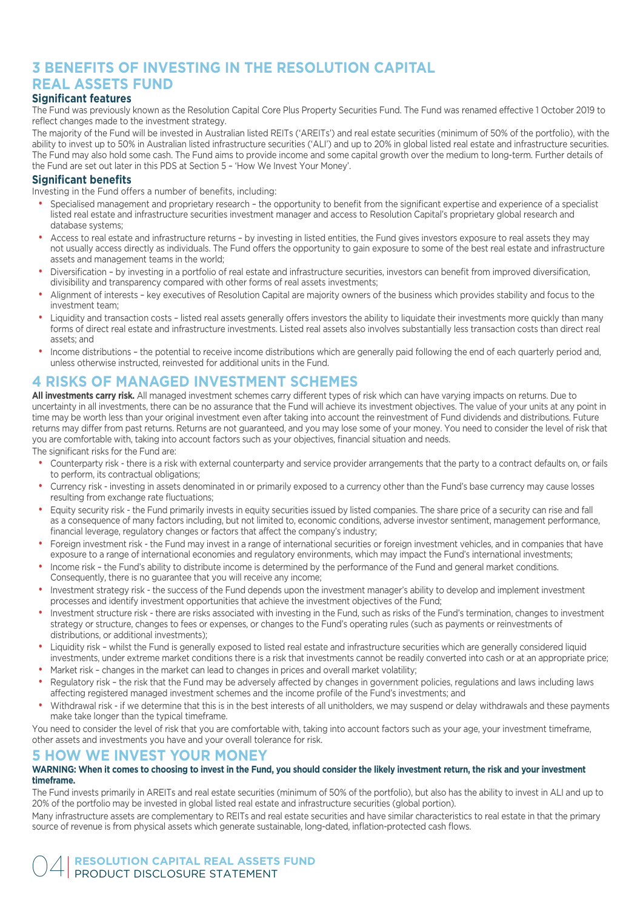### **3 BENEFITS OF INVESTING IN THE RESOLUTION CAPITAL REAL ASSETS FUND**

#### **Significant features**

The Fund was previously known as the Resolution Capital Core Plus Property Securities Fund. The Fund was renamed effective 1 October 2019 to reflect changes made to the investment strategy.

The majority of the Fund will be invested in Australian listed REITs ('AREITs') and real estate securities (minimum of 50% of the portfolio), with the ability to invest up to 50% in Australian listed infrastructure securities ('ALI') and up to 20% in global listed real estate and infrastructure securities. The Fund may also hold some cash. The Fund aims to provide income and some capital growth over the medium to long-term. Further details of the Fund are set out later in this PDS at Section 5 – 'How We Invest Your Money'.

#### **Significant benefits**

Investing in the Fund offers a number of benefits, including:

- Specialised management and proprietary research the opportunity to benefit from the significant expertise and experience of a specialist listed real estate and infrastructure securities investment manager and access to Resolution Capital's proprietary global research and database systems;
- Access to real estate and infrastructure returns by investing in listed entities, the Fund gives investors exposure to real assets they may not usually access directly as individuals. The Fund offers the opportunity to gain exposure to some of the best real estate and infrastructure assets and management teams in the world;
- Diversification by investing in a portfolio of real estate and infrastructure securities, investors can benefit from improved diversification, divisibility and transparency compared with other forms of real assets investments;
- Alignment of interests key executives of Resolution Capital are majority owners of the business which provides stability and focus to the investment team;
- Liquidity and transaction costs listed real assets generally offers investors the ability to liquidate their investments more quickly than many forms of direct real estate and infrastructure investments. Listed real assets also involves substantially less transaction costs than direct real assets; and
- Income distributions the potential to receive income distributions which are generally paid following the end of each quarterly period and, unless otherwise instructed, reinvested for additional units in the Fund.

# **4 RISKS OF MANAGED INVESTMENT SCHEMES**

**All investments carry risk.** All managed investment schemes carry different types of risk which can have varying impacts on returns. Due to uncertainty in all investments, there can be no assurance that the Fund will achieve its investment objectives. The value of your units at any point in time may be worth less than your original investment even after taking into account the reinvestment of Fund dividends and distributions. Future returns may differ from past returns. Returns are not guaranteed, and you may lose some of your money. You need to consider the level of risk that you are comfortable with, taking into account factors such as your objectives, financial situation and needs.

The significant risks for the Fund are:

- Counterparty risk there is a risk with external counterparty and service provider arrangements that the party to a contract defaults on, or fails to perform, its contractual obligations;
- Currency risk investing in assets denominated in or primarily exposed to a currency other than the Fund's base currency may cause losses resulting from exchange rate fluctuations;
- Equity security risk the Fund primarily invests in equity securities issued by listed companies. The share price of a security can rise and fall as a consequence of many factors including, but not limited to, economic conditions, adverse investor sentiment, management performance, financial leverage, regulatory changes or factors that affect the company's industry;
- Foreign investment risk the Fund may invest in a range of international securities or foreign investment vehicles, and in companies that have exposure to a range of international economies and regulatory environments, which may impact the Fund's international investments;
- Income risk the Fund's ability to distribute income is determined by the performance of the Fund and general market conditions. Consequently, there is no guarantee that you will receive any income;
- Investment strategy risk the success of the Fund depends upon the investment manager's ability to develop and implement investment processes and identify investment opportunities that achieve the investment objectives of the Fund;
- Investment structure risk there are risks associated with investing in the Fund, such as risks of the Fund's termination, changes to investment strategy or structure, changes to fees or expenses, or changes to the Fund's operating rules (such as payments or reinvestments of distributions, or additional investments);
- Liquidity risk whilst the Fund is generally exposed to listed real estate and infrastructure securities which are generally considered liquid investments, under extreme market conditions there is a risk that investments cannot be readily converted into cash or at an appropriate price;
- Market risk changes in the market can lead to changes in prices and overall market volatility;
- Regulatory risk the risk that the Fund may be adversely affected by changes in government policies, regulations and laws including laws affecting registered managed investment schemes and the income profile of the Fund's investments; and
- Withdrawal risk if we determine that this is in the best interests of all unitholders, we may suspend or delay withdrawals and these payments make take longer than the typical timeframe.

You need to consider the level of risk that you are comfortable with, taking into account factors such as your age, your investment timeframe, other assets and investments you have and your overall tolerance for risk.

#### **5 HOW WE INVEST YOUR MONEY**

#### **WARNING: When it comes to choosing to invest in the Fund, you should consider the likely investment return, the risk and your investment timeframe.**

The Fund invests primarily in AREITs and real estate securities (minimum of 50% of the portfolio), but also has the ability to invest in ALI and up to 20% of the portfolio may be invested in global listed real estate and infrastructure securities (global portion).

Many infrastructure assets are complementary to REITs and real estate securities and have similar characteristics to real estate in that the primary source of revenue is from physical assets which generate sustainable, long-dated, inflation-protected cash flows.

**RESOLUTION CAPITAL REAL ASSETS FUND** PRODUCT DISCLOSURE STATEMENT 04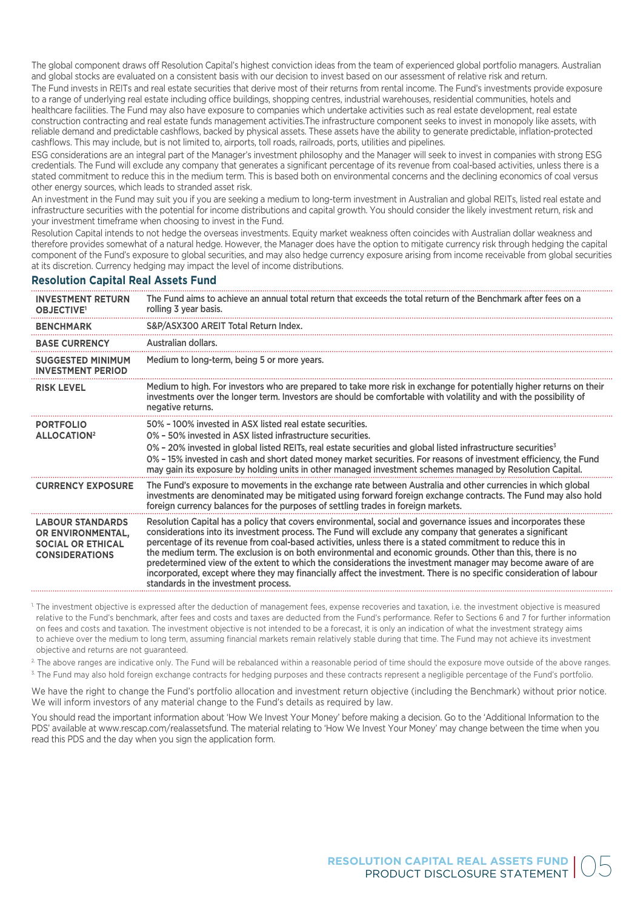The global component draws off Resolution Capital's highest conviction ideas from the team of experienced global portfolio managers. Australian and global stocks are evaluated on a consistent basis with our decision to invest based on our assessment of relative risk and return.

The Fund invests in REITs and real estate securities that derive most of their returns from rental income. The Fund's investments provide exposure to a range of underlying real estate including office buildings, shopping centres, industrial warehouses, residential communities, hotels and healthcare facilities. The Fund may also have exposure to companies which undertake activities such as real estate development, real estate construction contracting and real estate funds management activities.The infrastructure component seeks to invest in monopoly like assets, with reliable demand and predictable cashflows, backed by physical assets. These assets have the ability to generate predictable, inflation-protected cashflows. This may include, but is not limited to, airports, toll roads, railroads, ports, utilities and pipelines.

ESG considerations are an integral part of the Manager's investment philosophy and the Manager will seek to invest in companies with strong ESG credentials. The Fund will exclude any company that generates a significant percentage of its revenue from coal-based activities, unless there is a stated commitment to reduce this in the medium term. This is based both on environmental concerns and the declining economics of coal versus other energy sources, which leads to stranded asset risk.

An investment in the Fund may suit you if you are seeking a medium to long-term investment in Australian and global REITs, listed real estate and infrastructure securities with the potential for income distributions and capital growth. You should consider the likely investment return, risk and your investment timeframe when choosing to invest in the Fund.

Resolution Capital intends to not hedge the overseas investments. Equity market weakness often coincides with Australian dollar weakness and therefore provides somewhat of a natural hedge. However, the Manager does have the option to mitigate currency risk through hedging the capital component of the Fund's exposure to global securities, and may also hedge currency exposure arising from income receivable from global securities at its discretion. Currency hedging may impact the level of income distributions.

#### **Resolution Capital Real Assets Fund**

| <b>INVESTMENT RETURN</b><br><b>OBJECTIVE</b>                                                      | The Fund aims to achieve an annual total return that exceeds the total return of the Benchmark after fees on a<br>rolling 3 year basis.                                                                                                                                                                                                                                                                                                                                                                                                                                                                                                                                                                                                 |  |  |
|---------------------------------------------------------------------------------------------------|-----------------------------------------------------------------------------------------------------------------------------------------------------------------------------------------------------------------------------------------------------------------------------------------------------------------------------------------------------------------------------------------------------------------------------------------------------------------------------------------------------------------------------------------------------------------------------------------------------------------------------------------------------------------------------------------------------------------------------------------|--|--|
| <b>BENCHMARK</b>                                                                                  | S&P/ASX300 AREIT Total Return Index.                                                                                                                                                                                                                                                                                                                                                                                                                                                                                                                                                                                                                                                                                                    |  |  |
| <b>BASE CURRENCY</b>                                                                              | Australian dollars.                                                                                                                                                                                                                                                                                                                                                                                                                                                                                                                                                                                                                                                                                                                     |  |  |
| <b>SUGGESTED MINIMUM</b><br><b>INVESTMENT PERIOD</b>                                              | Medium to long-term, being 5 or more years.                                                                                                                                                                                                                                                                                                                                                                                                                                                                                                                                                                                                                                                                                             |  |  |
| <b>RISK LEVEL</b>                                                                                 | Medium to high. For investors who are prepared to take more risk in exchange for potentially higher returns on their<br>investments over the longer term. Investors are should be comfortable with volatility and with the possibility of<br>negative returns.                                                                                                                                                                                                                                                                                                                                                                                                                                                                          |  |  |
| <b>PORTFOLIO</b><br><b>ALLOCATION<sup>2</sup></b>                                                 | 50% - 100% invested in ASX listed real estate securities.<br>0% - 50% invested in ASX listed infrastructure securities.<br>0% - 20% invested in global listed REITs, real estate securities and global listed infrastructure securities <sup>3</sup><br>0% - 15% invested in cash and short dated money market securities. For reasons of investment efficiency, the Fund<br>may gain its exposure by holding units in other managed investment schemes managed by Resolution Capital.                                                                                                                                                                                                                                                  |  |  |
| <b>CURRENCY EXPOSURE</b>                                                                          | The Fund's exposure to movements in the exchange rate between Australia and other currencies in which global<br>investments are denominated may be mitigated using forward foreign exchange contracts. The Fund may also hold<br>foreign currency balances for the purposes of settling trades in foreign markets.                                                                                                                                                                                                                                                                                                                                                                                                                      |  |  |
| <b>LABOUR STANDARDS</b><br>OR ENVIRONMENTAL,<br><b>SOCIAL OR ETHICAL</b><br><b>CONSIDERATIONS</b> | Resolution Capital has a policy that covers environmental, social and governance issues and incorporates these<br>considerations into its investment process. The Fund will exclude any company that generates a significant<br>percentage of its revenue from coal-based activities, unless there is a stated commitment to reduce this in<br>the medium term. The exclusion is on both environmental and economic grounds. Other than this, there is no<br>predetermined view of the extent to which the considerations the investment manager may become aware of are<br>incorporated, except where they may financially affect the investment. There is no specific consideration of labour<br>standards in the investment process. |  |  |

<sup>1</sup> The investment objective is expressed after the deduction of management fees, expense recoveries and taxation, i.e. the investment objective is measured relative to the Fund's benchmark, after fees and costs and taxes are deducted from the Fund's performance. Refer to Sections 6 and 7 for further information on fees and costs and taxation. The investment objective is not intended to be a forecast, it is only an indication of what the investment strategy aims to achieve over the medium to long term, assuming financial markets remain relatively stable during that time. The Fund may not achieve its investment objective and returns are not guaranteed.

<sup>2</sup>. The above ranges are indicative only. The Fund will be rebalanced within a reasonable period of time should the exposure move outside of the above ranges.

3. The Fund may also hold foreign exchange contracts for hedging purposes and these contracts represent a negligible percentage of the Fund's portfolio.

We have the right to change the Fund's portfolio allocation and investment return objective (including the Benchmark) without prior notice. We will inform investors of any material change to the Fund's details as required by law.

You should read the important information about 'How We Invest Your Money' before making a decision. Go to the 'Additional Information to the PDS' available at www.rescap.com/realassetsfund. The material relating to 'How We Invest Your Money' may change between the time when you read this PDS and the day when you sign the application form.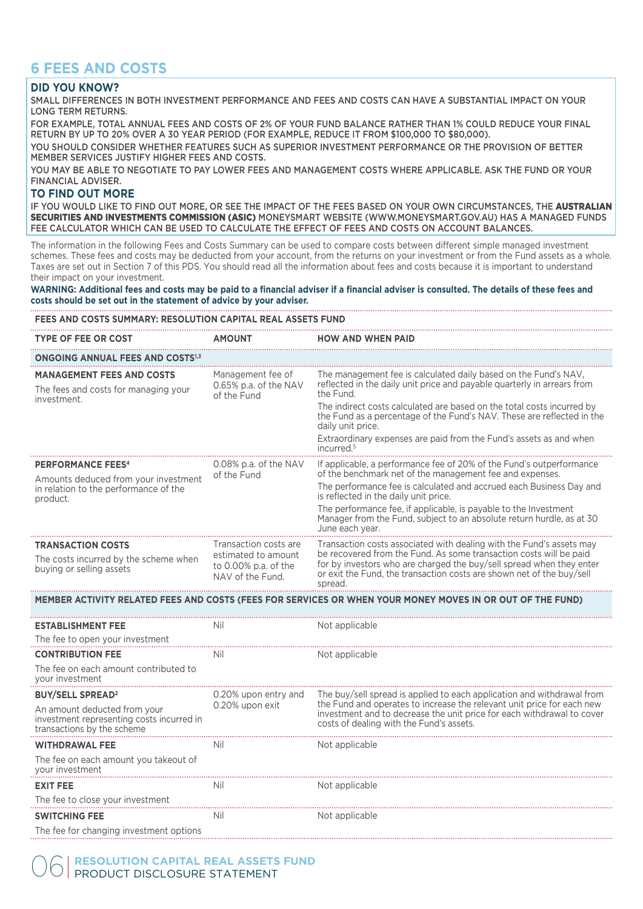# **6 FEES AND COSTS**

#### **DID YOU KNOW?**

SMALL DIFFERENCES IN BOTH INVESTMENT PERFORMANCE AND FEES AND COSTS CAN HAVE A SUBSTANTIAL IMPACT ON YOUR LONG TERM RETURNS.

FOR EXAMPLE, TOTAL ANNUAL FEES AND COSTS OF 2% OF YOUR FUND BALANCE RATHER THAN 1% COULD REDUCE YOUR FINAL RETURN BY UP TO 20% OVER A 30 YEAR PERIOD (FOR EXAMPLE, REDUCE IT FROM \$100,000 TO \$80,000).

YOU SHOULD CONSIDER WHETHER FEATURES SUCH AS SUPERIOR INVESTMENT PERFORMANCE OR THE PROVISION OF BETTER MEMBER SERVICES JUSTIFY HIGHER FEES AND COSTS.

YOU MAY BE ABLE TO NEGOTIATE TO PAY LOWER FEES AND MANAGEMENT COSTS WHERE APPLICABLE. ASK THE FUND OR YOUR FINANCIAL ADVISER.

#### **TO FIND OUT MORE**

IF YOU WOULD LIKE TO FIND OUT MORE, OR SEE THE IMPACT OF THE FEES BASED ON YOUR OWN CIRCUMSTANCES, THE AUSTRALIAN SECURITIES AND INVESTMENTS COMMISSION (ASIC) MONEYSMART WEBSITE (WWW.MONEYSMART.GOV.AU) HAS A MANAGED FUNDS FEE CALCULATOR WHICH CAN BE USED TO CALCULATE THE EFFECT OF FEES AND COSTS ON ACCOUNT BALANCES.

The information in the following Fees and Costs Summary can be used to compare costs between different simple managed investment schemes. These fees and costs may be deducted from your account, from the returns on your investment or from the Fund assets as a whole. Taxes are set out in Section 7 of this PDS. You should read all the information about fees and costs because it is important to understand their impact on your investment.

**WARNING: Additional fees and costs may be paid to a financial adviser if a financial adviser is consulted. The details of these fees and costs should be set out in the statement of advice by your adviser.**

#### **FEES AND COSTS SUMMARY: RESOLUTION CAPITAL REAL ASSETS FUND**

| <b>TYPE OF FEE OR COST</b>                                                              | <b>AMOUNT</b>                                                   | <b>HOW AND WHEN PAID</b>                                                                                                                                                                                                       |
|-----------------------------------------------------------------------------------------|-----------------------------------------------------------------|--------------------------------------------------------------------------------------------------------------------------------------------------------------------------------------------------------------------------------|
| <b>ONGOING ANNUAL FEES AND COSTS1,3</b>                                                 |                                                                 |                                                                                                                                                                                                                                |
| <b>MANAGEMENT FEES AND COSTS</b><br>The fees and costs for managing your<br>investment. | Management fee of<br>0.65% p.a. of the NAV<br>of the Fund       | The management fee is calculated daily based on the Fund's NAV.<br>reflected in the daily unit price and payable quarterly in arrears from<br>the Fund.                                                                        |
|                                                                                         |                                                                 | The indirect costs calculated are based on the total costs incurred by<br>the Fund as a percentage of the Fund's NAV. These are reflected in the<br>daily unit price.                                                          |
|                                                                                         |                                                                 | Extraordinary expenses are paid from the Fund's assets as and when<br>incurred. <sup>5</sup>                                                                                                                                   |
| <b>PERFORMANCE FEES<sup>4</sup></b><br>Amounts deduced from your investment             | 0.08% p.a. of the NAV<br>of the Fund                            | If applicable, a performance fee of 20% of the Fund's outperformance<br>of the benchmark net of the management fee and expenses.                                                                                               |
| in relation to the performance of the<br>product.                                       |                                                                 | The performance fee is calculated and accrued each Business Day and<br>is reflected in the daily unit price.                                                                                                                   |
|                                                                                         |                                                                 | The performance fee, if applicable, is payable to the Investment<br>Manager from the Fund, subject to an absolute return hurdle, as at 30<br>June each year.                                                                   |
| <b>TRANSACTION COSTS</b>                                                                | Transaction costs are                                           | Transaction costs associated with dealing with the Fund's assets may                                                                                                                                                           |
| The costs incurred by the scheme when<br>buying or selling assets                       | estimated to amount<br>to 0.00% p.a. of the<br>NAV of the Fund. | be recovered from the Fund. As some transaction costs will be paid<br>for by investors who are charged the buy/sell spread when they enter<br>or exit the Fund, the transaction costs are shown net of the buy/sell<br>spread. |

#### **MEMBER ACTIVITY RELATED FEES AND COSTS (FEES FOR SERVICES OR WHEN YOUR MONEY MOVES IN OR OUT OF THE FUND)**

| <b>ESTABLISHMENT FEE</b><br>The fee to open your investment                                             | Ni                   | Not applicable                                                                                                                                                                               |  |
|---------------------------------------------------------------------------------------------------------|----------------------|----------------------------------------------------------------------------------------------------------------------------------------------------------------------------------------------|--|
| <b>CONTRIBUTION FEE</b>                                                                                 | Ni                   | Not applicable                                                                                                                                                                               |  |
| The fee on each amount contributed to<br>your investment                                                |                      |                                                                                                                                                                                              |  |
| <b>BUY/SELL SPREAD<sup>2</sup></b>                                                                      | 0.20% upon entry and | The buy/sell spread is applied to each application and withdrawal from                                                                                                                       |  |
| An amount deducted from your<br>investment representing costs incurred in<br>transactions by the scheme | 0.20% upon exit      | the Fund and operates to increase the relevant unit price for each new<br>investment and to decrease the unit price for each withdrawal to cover<br>costs of dealing with the Fund's assets. |  |
| <b>WITHDRAWAL FEE</b>                                                                                   | Ni                   | Not applicable                                                                                                                                                                               |  |
| The fee on each amount you takeout of<br>vour investment                                                |                      |                                                                                                                                                                                              |  |
| <b>EXIT FEE</b>                                                                                         | Nπ                   | Not applicable                                                                                                                                                                               |  |
| The fee to close your investment                                                                        |                      |                                                                                                                                                                                              |  |
| <b>SWITCHING FEE</b>                                                                                    | Ni                   | Not applicable                                                                                                                                                                               |  |
| The fee for changing investment options                                                                 |                      |                                                                                                                                                                                              |  |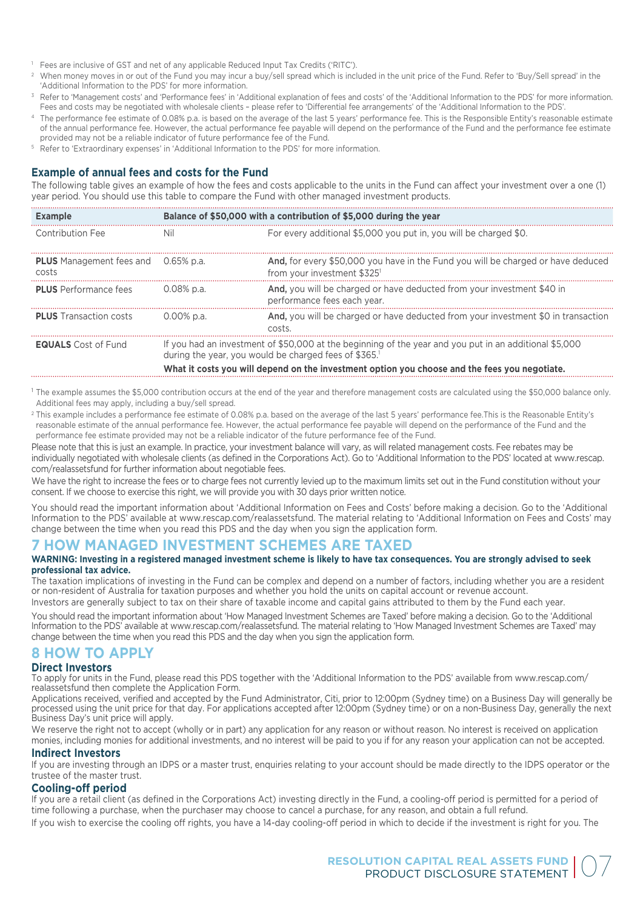- <sup>1</sup> Fees are inclusive of GST and net of any applicable Reduced Input Tax Credits ('RITC').
- <sup>2</sup> When money moves in or out of the Fund you may incur a buy/sell spread which is included in the unit price of the Fund. Refer to 'Buy/Sell spread' in the 'Additional Information to the PDS' for more information.
- <sup>3</sup> Refer to 'Management costs' and 'Performance fees' in 'Additional explanation of fees and costs' of the 'Additional Information to the PDS' for more information. Fees and costs may be negotiated with wholesale clients – please refer to 'Differential fee arrangements' of the 'Additional Information to the PDS'.
- <sup>4</sup> The performance fee estimate of 0.08% p.a. is based on the average of the last 5 years' performance fee. This is the Responsible Entity's reasonable estimate of the annual performance fee. However, the actual performance fee payable will depend on the performance of the Fund and the performance fee estimate provided may not be a reliable indicator of future performance fee of the Fund.
- <sup>5</sup> Refer to 'Extraordinary expenses' in 'Additional Information to the PDS' for more information.

#### **Example of annual fees and costs for the Fund**

The following table gives an example of how the fees and costs applicable to the units in the Fund can affect your investment over a one (1) year period. You should use this table to compare the Fund with other managed investment products.

| <b>Example</b>                                      | Balance of \$50,000 with a contribution of \$5,000 during the year                                                                                                                                                                                              |                                                                                                                |  |
|-----------------------------------------------------|-----------------------------------------------------------------------------------------------------------------------------------------------------------------------------------------------------------------------------------------------------------------|----------------------------------------------------------------------------------------------------------------|--|
| Contribution Fee                                    | Nil                                                                                                                                                                                                                                                             | For every additional \$5,000 you put in, you will be charged \$0.                                              |  |
| <b>PLUS</b> Management fees and 0.65% p.a.<br>costs |                                                                                                                                                                                                                                                                 | And, for every \$50,000 you have in the Fund you will be charged or have deduced<br>from your investment \$325 |  |
| <b>PLUS</b> Performance fees                        | 0.08% p.a.                                                                                                                                                                                                                                                      | And, you will be charged or have deducted from your investment \$40 in<br>performance fees each year.          |  |
| <b>PLUS</b> Transaction costs                       | 0.00% p.a.                                                                                                                                                                                                                                                      | <b>And,</b> you will be charged or have deducted from your investment \$0 in transaction<br>costs              |  |
| <b>EQUALS</b> Cost of Fund                          | If you had an investment of \$50,000 at the beginning of the year and you put in an additional \$5,000<br>during the year, you would be charged fees of \$365.<br>What it costs you will depend on the investment option you choose and the fees you negotiate. |                                                                                                                |  |

<sup>1</sup> The example assumes the \$5,000 contribution occurs at the end of the year and therefore management costs are calculated using the \$50,000 balance only. Additional fees may apply, including a buy/sell spread.

<sup>2</sup> This example includes a performance fee estimate of 0.08% p.a. based on the average of the last 5 years' performance fee.This is the Reasonable Entity's reasonable estimate of the annual performance fee. However, the actual performance fee payable will depend on the performance of the Fund and the performance fee estimate provided may not be a reliable indicator of the future performance fee of the Fund.

Please note that this is just an example. In practice, your investment balance will vary, as will related management costs. Fee rebates may be individually negotiated with wholesale clients (as defined in the Corporations Act). Go to 'Additional Information to the PDS' located at www.rescap. com/realassetsfund for further information about negotiable fees.

We have the right to increase the fees or to charge fees not currently levied up to the maximum limits set out in the Fund constitution without your consent. If we choose to exercise this right, we will provide you with 30 days prior written notice.

You should read the important information about 'Additional Information on Fees and Costs' before making a decision. Go to the 'Additional Information to the PDS' available at www.rescap.com/realassetsfund. The material relating to 'Additional Information on Fees and Costs' may change between the time when you read this PDS and the day when you sign the application form.

## **7 HOW MANAGED INVESTMENT SCHEMES ARE TAXED**

#### **WARNING: Investing in a registered managed investment scheme is likely to have tax consequences. You are strongly advised to seek professional tax advice.**

The taxation implications of investing in the Fund can be complex and depend on a number of factors, including whether you are a resident or non-resident of Australia for taxation purposes and whether you hold the units on capital account or revenue account. Investors are generally subject to tax on their share of taxable income and capital gains attributed to them by the Fund each year.

You should read the important information about 'How Managed Investment Schemes are Taxed' before making a decision. Go to the 'Additional Information to the PDS' available at www.rescap.com/realassetsfund. The material relating to 'How Managed Investment Schemes are Taxed' may change between the time when you read this PDS and the day when you sign the application form.

#### **8 HOW TO APPLY**

#### **Direct Investors**

To apply for units in the Fund, please read this PDS together with the 'Additional Information to the PDS' available from www.rescap.com/ realassetsfund then complete the Application Form.

Applications received, verified and accepted by the Fund Administrator, Citi, prior to 12:00pm (Sydney time) on a Business Day will generally be processed using the unit price for that day. For applications accepted after 12:00pm (Sydney time) or on a non-Business Day, generally the next Business Day's unit price will apply.

We reserve the right not to accept (wholly or in part) any application for any reason or without reason. No interest is received on application monies, including monies for additional investments, and no interest will be paid to you if for any reason your application can not be accepted.

#### **Indirect Investors**

If you are investing through an IDPS or a master trust, enquiries relating to your account should be made directly to the IDPS operator or the trustee of the master trust.

#### **Cooling-off period**

If you are a retail client (as defined in the Corporations Act) investing directly in the Fund, a cooling-off period is permitted for a period of time following a purchase, when the purchaser may choose to cancel a purchase, for any reason, and obtain a full refund.

If you wish to exercise the cooling off rights, you have a 14-day cooling-off period in which to decide if the investment is right for you. The